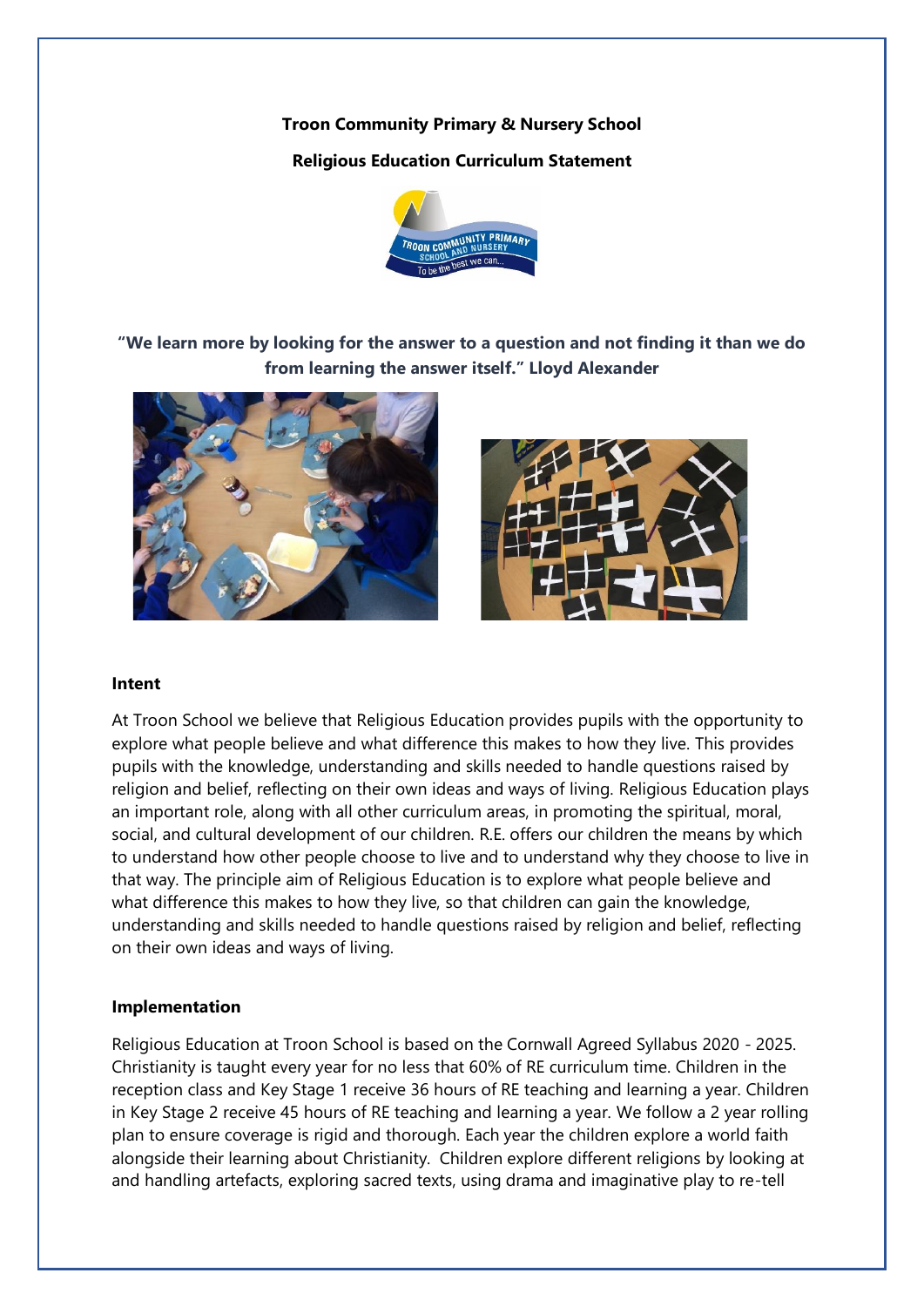**Troon Community Primary & Nursery School**

## **Religious Education Curriculum Statement**



**"We learn more by looking for the answer to a question and not finding it than we do from learning the answer itself." Lloyd Alexander**





## **Intent**

At Troon School we believe that Religious Education provides pupils with the opportunity to explore what people believe and what difference this makes to how they live. This provides pupils with the knowledge, understanding and skills needed to handle questions raised by religion and belief, reflecting on their own ideas and ways of living. Religious Education plays an important role, along with all other curriculum areas, in promoting the spiritual, moral, social, and cultural development of our children. R.E. offers our children the means by which to understand how other people choose to live and to understand why they choose to live in that way. The principle aim of Religious Education is to explore what people believe and what difference this makes to how they live, so that children can gain the knowledge, understanding and skills needed to handle questions raised by religion and belief, reflecting on their own ideas and ways of living.

## **Implementation**

Religious Education at Troon School is based on the Cornwall Agreed Syllabus 2020 - 2025. Christianity is taught every year for no less that 60% of RE curriculum time. Children in the reception class and Key Stage 1 receive 36 hours of RE teaching and learning a year. Children in Key Stage 2 receive 45 hours of RE teaching and learning a year. We follow a 2 year rolling plan to ensure coverage is rigid and thorough. Each year the children explore a world faith alongside their learning about Christianity. Children explore different religions by looking at and handling artefacts, exploring sacred texts, using drama and imaginative play to re-tell